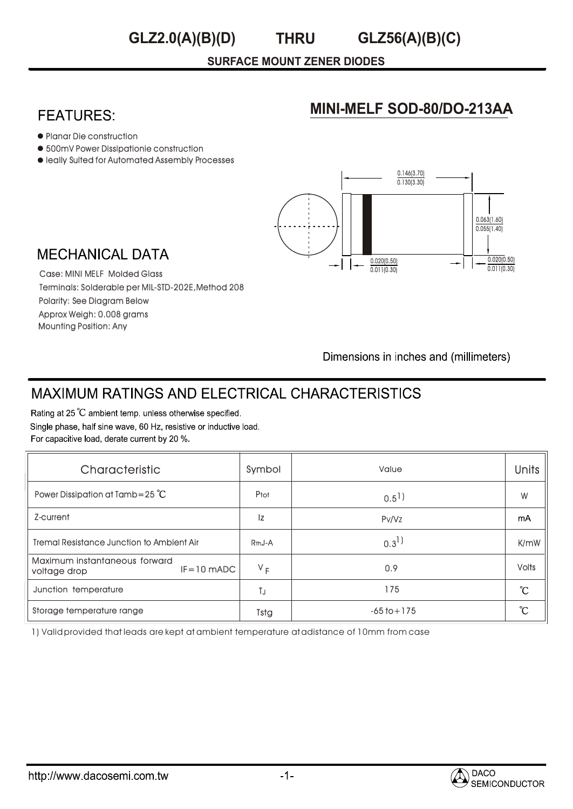#### **THRU GLZ2.0(A)(B)(D) GLZ56(A)(B)(C)**

#### **SURFACE MOUNT ZENER DIODES**

# **FEATURES:**

#### Planar Die construction

- 500mV Power Dissipationie construction
- $\bullet$  leally Sulted for Automated Assembly Processes



**MINI-MELF SOD-80/DO-213AA**

# **MECHANICAL DATA**

Case: MINI MELF Molded Glass Terminals: Solderable per MIL-STD-202E,Method 208 Polarity: See Diagram Below Approx Weigh: 0.008 grams Mounting Position: Any

Dimensions in inches and (millimeters)

# **MAXIMUM RATINGS AND ELECTRICAL CHARACTERISTICS**

Rating at 25 °C ambient temp. unless otherwise specified. Single phase, half sine wave, 60 Hz, resistive or inductive load. For capacitive load, derate current by 20 %.

| Characteristic                                                  | Symbol              | Value                | <b>Units</b>    |
|-----------------------------------------------------------------|---------------------|----------------------|-----------------|
| Power Dissipation at Tamb=25 $^{\circ}$ C                       | Ptot                | $0.5$ <sup>1</sup> ) | W               |
| Z-current                                                       | Iz                  | Pv/Vz                | mA              |
| Tremal Resistance Junction to Ambient Air                       | R <sub>th</sub> J-A | $0.3^{1}$            | K/mW            |
| Maximum instantaneous forward<br>$IF = 10$ mADC<br>voltage drop | $V_F$               | 0.9                  | <b>Volts</b>    |
| Junction temperature                                            | TJ                  | 175                  | $\rm ^{\circ}C$ |
| Storage temperature range                                       | Tstg                | $-65$ to $+175$      | °C              |

1) Valid provided that leads are kept at ambient temperature at adistance of 10mm from case

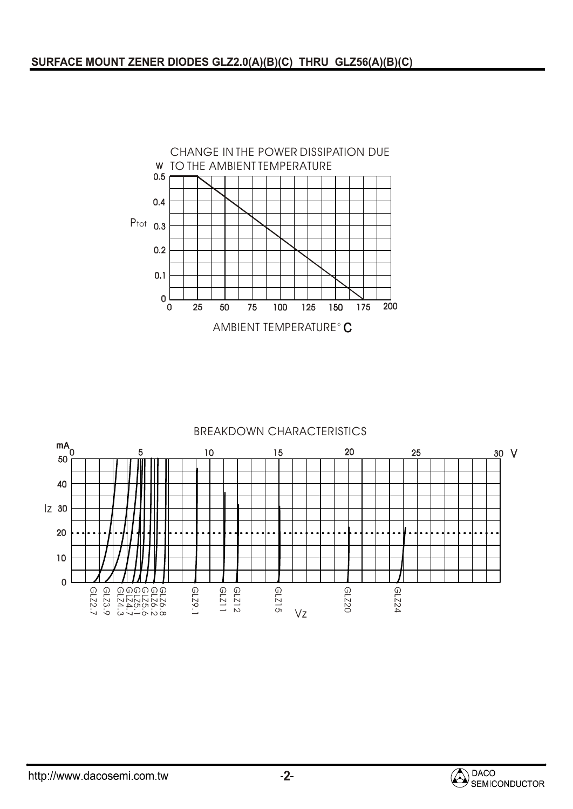

#### BREAKDOWN CHARACTERISTICS



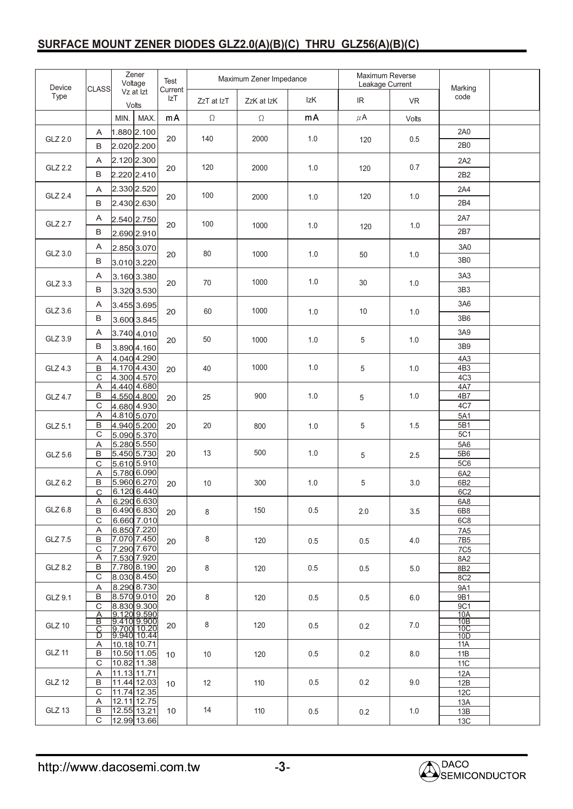### **SURFACE MOUNT ZENER DIODES GLZ2.0(A)(B)(C) THRU GLZ56(A)(B)(C)**

| Device         | <b>CLASS</b>                 | Zener<br>Voltage |                                 | Test<br>Current | Maximum Zener Impedance |            |     | Maximum Reverse<br>Leakage Current |            | Marking                            |     |                   |     |  |
|----------------|------------------------------|------------------|---------------------------------|-----------------|-------------------------|------------|-----|------------------------------------|------------|------------------------------------|-----|-------------------|-----|--|
| Type           |                              |                  | Vz at Izt<br>Volts              | IzT             | ZzT at IzT              | ZzK at IzK | IzK | IR                                 | <b>VR</b>  | code                               |     |                   |     |  |
|                |                              | MIN.             | MAX.                            | mA              | $\Omega$                | $\Omega$   | mA  | $\mu$ A                            | Volts      |                                    |     |                   |     |  |
| GLZ 2.0        | A                            |                  | $1.880$ 2.100                   | 20              | 140                     | 2000       | 1.0 |                                    |            | 2A0                                |     |                   |     |  |
|                | В                            |                  | 2.020 2.200                     |                 |                         |            |     | 120                                | 0.5        | 2B <sub>0</sub>                    |     |                   |     |  |
|                | Α                            |                  | 2.120 2.300                     | 20              |                         |            |     |                                    | 0.7        | 2A2                                |     |                   |     |  |
| GLZ 2.2        | B                            |                  | 2.220 2.410                     |                 | 120                     | 2000       | 1.0 | 120                                |            | 2B2                                |     |                   |     |  |
|                | A                            |                  | 2.330 2.520                     | 20              |                         | 2000       | 1.0 | 120                                | 1.0        | 2A4                                |     |                   |     |  |
|                | GLZ 2.4<br>$\, {\bf B}$      |                  | 2.430 2.630                     |                 | 100                     |            |     |                                    |            | 2B4                                |     |                   |     |  |
| GLZ 2.7        | A                            |                  | 2.540 2.750                     |                 | 100                     | 1000       | 1.0 | 120                                | 1.0        | 2A7                                |     |                   |     |  |
|                | B                            |                  | 2.690 2.910                     | 20              |                         |            |     |                                    |            | 2B7                                |     |                   |     |  |
|                | A                            |                  | 2.850 3.070                     |                 |                         | 1000       |     |                                    | 1.0<br>1.0 | 3A0                                |     |                   |     |  |
| GLZ 3.0        | В                            | 3.010 3.220      |                                 | 20              | 80                      |            | 1.0 | 50                                 |            | 3B0                                |     |                   |     |  |
|                | A                            |                  | $3.160$ 3.380                   |                 |                         |            |     |                                    |            | 3A3                                |     |                   |     |  |
| GLZ 3.3        | $\, {\bf B}$                 |                  | 3.320 3.530                     | 20              | 70                      | 1000       | 1.0 | 30                                 |            | 3B3                                |     |                   |     |  |
|                | A                            |                  | $3.455$ 3.695                   |                 |                         |            |     |                                    |            | 3A6                                |     |                   |     |  |
| GLZ 3.6        | B                            |                  | 3.600 3.845                     | 20              | 60                      | 1000       | 1.0 | 10                                 | 1.0        | 3B6                                |     |                   |     |  |
|                | Α                            |                  | $3.740$ 4.010                   |                 |                         |            |     |                                    |            | 3A9                                |     |                   |     |  |
| GLZ 3.9        | В                            |                  | $3.890$ 4.160                   | 20              | 50                      | 1000       | 1.0 | 5                                  | 1.0        | 3B9                                |     |                   |     |  |
|                | Α                            |                  | $4.040$ 4.290                   |                 | 40                      | 1000       |     | 5                                  | 1.0        | 4A3                                |     |                   |     |  |
| GLZ 4.3        | B<br>С                       |                  | 4.170 4.430<br>4.300 4.570      | 20              |                         |            | 1.0 |                                    |            | 4B <sub>3</sub><br>4C <sub>3</sub> |     |                   |     |  |
|                | Α                            |                  | 4.440 4.680                     |                 | 25                      | 900        | 1.0 | 5                                  | 1.0        | 4A7                                |     |                   |     |  |
| <b>GLZ 4.7</b> | В<br>C                       |                  | 4.550 4.800<br>4.680 4.930      | 20              |                         |            |     |                                    |            | 4B7<br>4C7                         |     |                   |     |  |
|                | A                            |                  | 4.810 5.070                     | 20              |                         |            |     |                                    |            | 5A1                                |     |                   |     |  |
| GLZ 5.1        | B<br>C                       |                  | 4.940 5.200<br>5.090 5.370      |                 | 20                      | 800        | 1.0 | 5                                  | 1.5        | 5B1<br>5C1                         |     |                   |     |  |
|                | $\overline{\mathsf{A}}$      |                  | 5.280 5.550                     |                 |                         |            |     |                                    |            |                                    |     |                   | 5A6 |  |
| GLZ 5.6        | $\, {\bf B}$<br>$\mathsf{C}$ |                  |                                 | 5.450 5.730     | 5.610 5.910             | 20         | 13  | 500                                | 1.0        | 5                                  | 2.5 | 5B6<br><b>5C6</b> |     |  |
|                | Α                            |                  | 5.780 6.090                     |                 |                         | 300        |     | 5                                  | 3.0        | 6A2                                |     |                   |     |  |
| GLZ 6.2        | В<br>C                       |                  | 5.960 6.270<br>6.120 6.440      | 20              | 10                      |            | 1.0 |                                    |            | 6B2<br>6C2                         |     |                   |     |  |
|                | A                            |                  | 6.290 6.630                     |                 |                         |            |     |                                    |            | 6A8                                |     |                   |     |  |
| GLZ 6.8        | B<br>C                       |                  | 6.490 6.830<br>6.660 7.010      | 20              | 8                       | 150        | 0.5 | 2.0                                | 3.5        | 6B8<br>6C8                         |     |                   |     |  |
|                | Α                            |                  | $6.850$ 7.220                   |                 |                         |            |     |                                    |            | 7A <sub>5</sub>                    |     |                   |     |  |
| GLZ 7.5        | В                            |                  | 7.070 7.450<br>7.290 7.670      | 20              | 8                       | 120        | 0.5 | 0.5                                | 4.0        | 7B <sub>5</sub>                    |     |                   |     |  |
|                | С<br>Α                       |                  | 7.530 7.920                     |                 |                         | 120        |     | 0.5                                |            | <b>7C5</b><br>8A2                  |     |                   |     |  |
| GLZ 8.2        | В<br>С                       |                  | 7.780 8.190<br>8.030 8.450      | 20              | 8                       |            | 0.5 |                                    | 5.0        | 8B2                                |     |                   |     |  |
|                | A                            |                  | 8.290 8.730                     |                 |                         |            |     | 0.5<br>0.2                         | 6.0<br>7.0 | 8C <sub>2</sub><br>9A1             |     |                   |     |  |
| GLZ 9.1        | В                            |                  | $ 8.570 $ 9.010                 | 20              | 8                       | 120        | 0.5 |                                    |            | 9B1                                |     |                   |     |  |
|                | C<br>Α                       |                  | 8.830 9.300                     |                 |                         |            |     |                                    |            | 9C1<br>10A                         |     |                   |     |  |
| <b>GLZ 10</b>  | в<br>C                       |                  | $\frac{19.12093300}{9.4109300}$ | 20              | 8                       | 120        | 0.5 |                                    |            | 10B<br>10 <sub>C</sub>             |     |                   |     |  |
| <b>GLZ 11</b>  | D<br>Α                       | 10.18 10.71      |                                 | 10              | 10                      | 120        | 0.5 | 0.2                                | 8.0        | 10D<br>11A                         |     |                   |     |  |
|                | В                            |                  | 10.50 11.05                     |                 |                         |            |     |                                    |            | 11B                                |     |                   |     |  |
|                | Α                            | 10.82 11.38<br>С | 11.13 11.71                     |                 |                         |            |     |                                    |            | <b>11C</b><br>12A                  |     |                   |     |  |
| <b>GLZ 12</b>  | В                            |                  | 11.44 12.03                     | 10              | 12                      | 110        | 0.5 | 0.2                                | 9.0        | 12B                                |     |                   |     |  |
|                | C<br>A                       |                  | 11.74 12.35<br>12.11 12.75      |                 |                         |            |     |                                    |            | 12C<br>13A                         |     |                   |     |  |
| GLZ 13         | B                            |                  | 12.55 13.21                     | 10              | 14                      | 110        | 0.5 | 0.2                                | 1.0        | 13B                                |     |                   |     |  |
|                | C                            |                  | 12.99 13.66                     |                 |                         |            |     |                                    |            | 13C                                |     |                   |     |  |